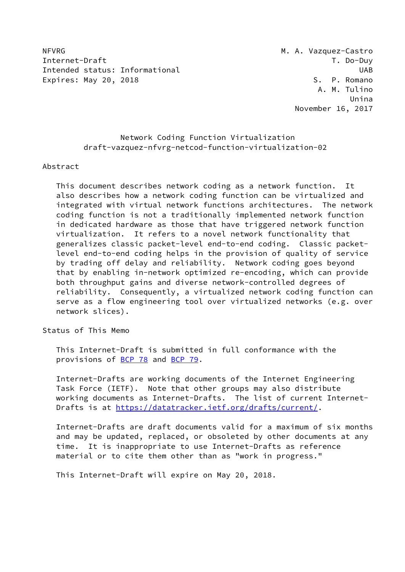NFVRG MEXIC MANUS AND MANUS MANUS MANUS MANUS MANUS MANUS MANUS MANUS MANUS MANUS MANUS MANUS MANUS MANUS MANUS Internet-Draft T. Do-Duy Intended status: Informational intended status: UAB Expires: May 20, 2018 S. P. Romano

## Network Coding Function Virtualization draft-vazquez-nfvrg-netcod-function-virtualization-02

#### Abstract

 This document describes network coding as a network function. It also describes how a network coding function can be virtualized and integrated with virtual network functions architectures. The network coding function is not a traditionally implemented network function in dedicated hardware as those that have triggered network function virtualization. It refers to a novel network functionality that generalizes classic packet-level end-to-end coding. Classic packet level end-to-end coding helps in the provision of quality of service by trading off delay and reliability. Network coding goes beyond that by enabling in-network optimized re-encoding, which can provide both throughput gains and diverse network-controlled degrees of reliability. Consequently, a virtualized network coding function can serve as a flow engineering tool over virtualized networks (e.g. over network slices).

Status of This Memo

 This Internet-Draft is submitted in full conformance with the provisions of [BCP 78](https://datatracker.ietf.org/doc/pdf/bcp78) and [BCP 79](https://datatracker.ietf.org/doc/pdf/bcp79).

 Internet-Drafts are working documents of the Internet Engineering Task Force (IETF). Note that other groups may also distribute working documents as Internet-Drafts. The list of current Internet- Drafts is at<https://datatracker.ietf.org/drafts/current/>.

 Internet-Drafts are draft documents valid for a maximum of six months and may be updated, replaced, or obsoleted by other documents at any time. It is inappropriate to use Internet-Drafts as reference material or to cite them other than as "work in progress."

This Internet-Draft will expire on May 20, 2018.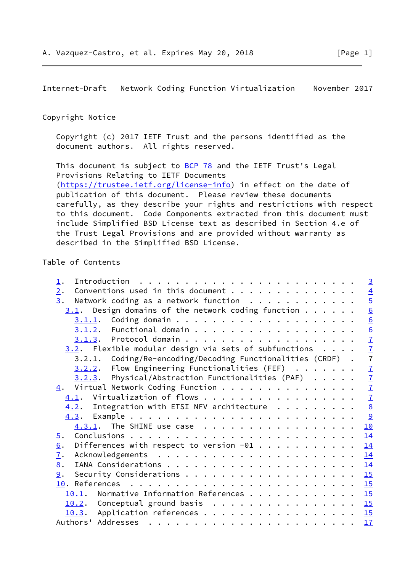### Copyright Notice

 Copyright (c) 2017 IETF Trust and the persons identified as the document authors. All rights reserved.

This document is subject to **[BCP 78](https://datatracker.ietf.org/doc/pdf/bcp78)** and the IETF Trust's Legal Provisions Relating to IETF Documents [\(https://trustee.ietf.org/license-info](https://trustee.ietf.org/license-info)) in effect on the date of publication of this document. Please review these documents carefully, as they describe your rights and restrictions with respect to this document. Code Components extracted from this document must include Simplified BSD License text as described in Section 4.e of the Trust Legal Provisions and are provided without warranty as described in the Simplified BSD License.

## Table of Contents

| $\perp$ .                                                          | $\overline{\mathbf{3}}$ |
|--------------------------------------------------------------------|-------------------------|
| Conventions used in this document<br>2.                            | $\overline{4}$          |
| Network coding as a network function<br>3.                         | $\overline{5}$          |
| $3.1$ . Design domains of the network coding function              | 6                       |
|                                                                    | 6                       |
|                                                                    | 6                       |
|                                                                    |                         |
| $3.2$ . Flexible modular design via sets of subfunctions $\dots$ . | $\frac{7}{7}$           |
| 3.2.1. Coding/Re-encoding/Decoding Functionalities (CRDF) .        | $\overline{7}$          |
| $3.2.2.$ Flow Engineering Functionalities (FEF) $ \cdot $          | $\overline{1}$          |
| $3.2.3$ . Physical/Abstraction Functionalities (PAF)               | $\overline{1}$          |
| Virtual Network Coding Function<br>4.                              | $\overline{1}$          |
| $\underline{4.1}$ . Virtualization of flows                        | $\overline{1}$          |
| $4.2$ . Integration with ETSI NFV architecture                     | $\underline{8}$         |
|                                                                    | 9                       |
| $4.3.1$ . The SHINE use case                                       | 10                      |
| $\overline{5}$ .                                                   | 14                      |
| Differences with respect to version $-01$<br>6.                    | 14                      |
| $\overline{1}$ .                                                   | <u>14</u>               |
| 8.                                                                 | 14                      |
| 9.                                                                 | 15                      |
|                                                                    | 15                      |
| 10.1. Normative Information References 15                          |                         |
| 10.2. Conceptual ground basis 15                                   |                         |
| 10.3. Application references 15                                    |                         |
| Authors' Addresses                                                 | 17                      |
|                                                                    |                         |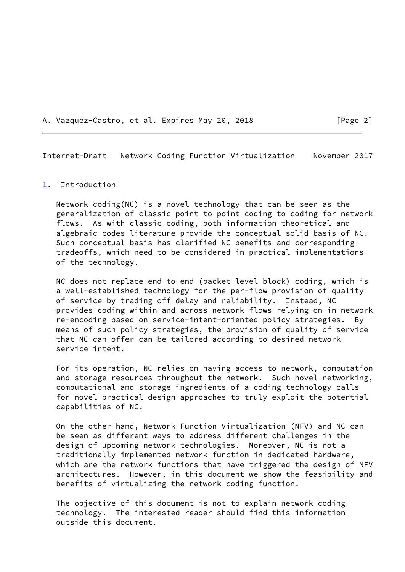A. Vazquez-Castro, et al. Expires May 20, 2018 [Page 2]

<span id="page-2-1"></span>Internet-Draft Network Coding Function Virtualization November 2017

#### <span id="page-2-0"></span>[1](#page-2-0). Introduction

 Network coding(NC) is a novel technology that can be seen as the generalization of classic point to point coding to coding for network flows. As with classic coding, both information theoretical and algebraic codes literature provide the conceptual solid basis of NC. Such conceptual basis has clarified NC benefits and corresponding tradeoffs, which need to be considered in practical implementations of the technology.

 NC does not replace end-to-end (packet-level block) coding, which is a well-established technology for the per-flow provision of quality of service by trading off delay and reliability. Instead, NC provides coding within and across network flows relying on in-network re-encoding based on service-intent-oriented policy strategies. By means of such policy strategies, the provision of quality of service that NC can offer can be tailored according to desired network service intent.

 For its operation, NC relies on having access to network, computation and storage resources throughout the network. Such novel networking, computational and storage ingredients of a coding technology calls for novel practical design approaches to truly exploit the potential capabilities of NC.

 On the other hand, Network Function Virtualization (NFV) and NC can be seen as different ways to address different challenges in the design of upcoming network technologies. Moreover, NC is not a traditionally implemented network function in dedicated hardware, which are the network functions that have triggered the design of NFV architectures. However, in this document we show the feasibility and benefits of virtualizing the network coding function.

 The objective of this document is not to explain network coding technology. The interested reader should find this information outside this document.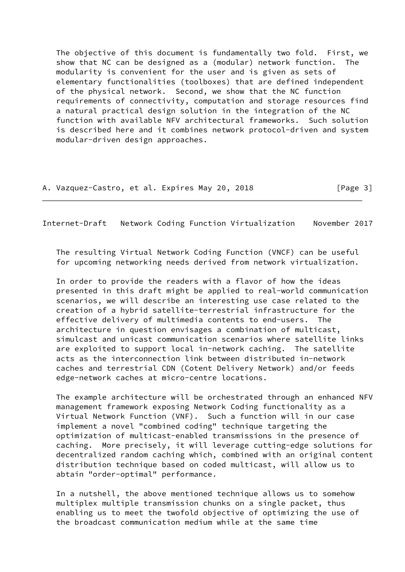The objective of this document is fundamentally two fold. First, we show that NC can be designed as a (modular) network function. The modularity is convenient for the user and is given as sets of elementary functionalities (toolboxes) that are defined independent of the physical network. Second, we show that the NC function requirements of connectivity, computation and storage resources find a natural practical design solution in the integration of the NC function with available NFV architectural frameworks. Such solution is described here and it combines network protocol-driven and system modular-driven design approaches.

A. Vazquez-Castro, et al. Expires May 20, 2018 [Page 3]

<span id="page-3-0"></span>Internet-Draft Network Coding Function Virtualization November 2017

 The resulting Virtual Network Coding Function (VNCF) can be useful for upcoming networking needs derived from network virtualization.

 In order to provide the readers with a flavor of how the ideas presented in this draft might be applied to real-world communication scenarios, we will describe an interesting use case related to the creation of a hybrid satellite-terrestrial infrastructure for the effective delivery of multimedia contents to end-users. The architecture in question envisages a combination of multicast, simulcast and unicast communication scenarios where satellite links are exploited to support local in-network caching. The satellite acts as the interconnection link between distributed in-network caches and terrestrial CDN (Cotent Delivery Network) and/or feeds edge-network caches at micro-centre locations.

 The example architecture will be orchestrated through an enhanced NFV management framework exposing Network Coding functionality as a Virtual Network Function (VNF). Such a function will in our case implement a novel "combined coding" technique targeting the optimization of multicast-enabled transmissions in the presence of caching. More precisely, it will leverage cutting-edge solutions for decentralized random caching which, combined with an original content distribution technique based on coded multicast, will allow us to abtain "order-optimal" performance.

 In a nutshell, the above mentioned technique allows us to somehow multiplex multiple transmission chunks on a single packet, thus enabling us to meet the twofold objective of optimizing the use of the broadcast communication medium while at the same time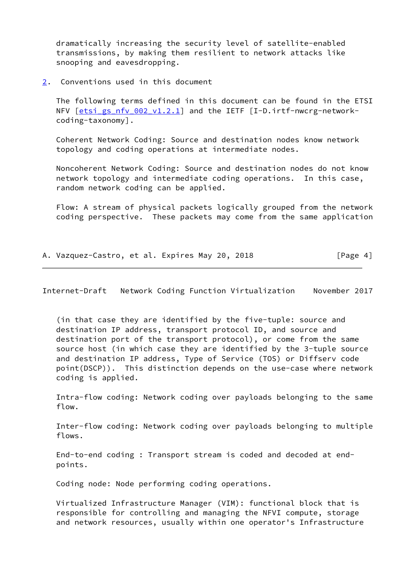dramatically increasing the security level of satellite-enabled transmissions, by making them resilient to network attacks like snooping and eavesdropping.

<span id="page-4-0"></span>[2](#page-4-0). Conventions used in this document

 The following terms defined in this document can be found in the ETSI NFV [\[etsi\\_gs\\_nfv\\_002\\_v1.2.1](#page-16-4)] and the IETF [I-D.irtf-nwcrg-networkcoding-taxonomy].

 Coherent Network Coding: Source and destination nodes know network topology and coding operations at intermediate nodes.

 Noncoherent Network Coding: Source and destination nodes do not know network topology and intermediate coding operations. In this case, random network coding can be applied.

 Flow: A stream of physical packets logically grouped from the network coding perspective. These packets may come from the same application

A. Vazquez-Castro, et al. Expires May 20, 2018 [Page 4]

<span id="page-4-1"></span>Internet-Draft Network Coding Function Virtualization November 2017

 (in that case they are identified by the five-tuple: source and destination IP address, transport protocol ID, and source and destination port of the transport protocol), or come from the same source host (in which case they are identified by the 3-tuple source and destination IP address, Type of Service (TOS) or Diffserv code point(DSCP)). This distinction depends on the use-case where network coding is applied.

 Intra-flow coding: Network coding over payloads belonging to the same flow.

 Inter-flow coding: Network coding over payloads belonging to multiple flows.

 End-to-end coding : Transport stream is coded and decoded at end points.

Coding node: Node performing coding operations.

 Virtualized Infrastructure Manager (VIM): functional block that is responsible for controlling and managing the NFVI compute, storage and network resources, usually within one operator's Infrastructure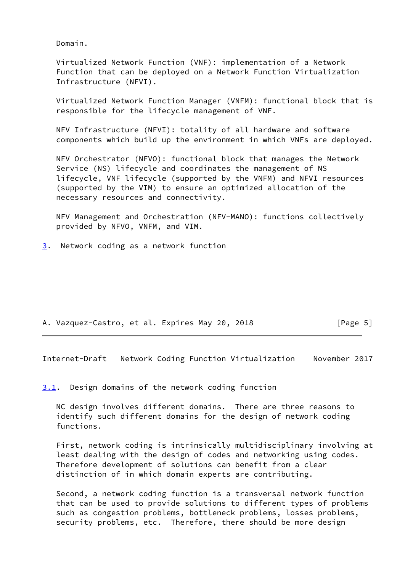Domain.

 Virtualized Network Function (VNF): implementation of a Network Function that can be deployed on a Network Function Virtualization Infrastructure (NFVI).

 Virtualized Network Function Manager (VNFM): functional block that is responsible for the lifecycle management of VNF.

 NFV Infrastructure (NFVI): totality of all hardware and software components which build up the environment in which VNFs are deployed.

 NFV Orchestrator (NFVO): functional block that manages the Network Service (NS) lifecycle and coordinates the management of NS lifecycle, VNF lifecycle (supported by the VNFM) and NFVI resources (supported by the VIM) to ensure an optimized allocation of the necessary resources and connectivity.

 NFV Management and Orchestration (NFV-MANO): functions collectively provided by NFVO, VNFM, and VIM.

<span id="page-5-0"></span>[3](#page-5-0). Network coding as a network function

A. Vazquez-Castro, et al. Expires May 20, 2018 [Page 5]

<span id="page-5-2"></span>Internet-Draft Network Coding Function Virtualization November 2017

<span id="page-5-1"></span>[3.1](#page-5-1). Design domains of the network coding function

 NC design involves different domains. There are three reasons to identify such different domains for the design of network coding functions.

 First, network coding is intrinsically multidisciplinary involving at least dealing with the design of codes and networking using codes. Therefore development of solutions can benefit from a clear distinction of in which domain experts are contributing.

 Second, a network coding function is a transversal network function that can be used to provide solutions to different types of problems such as congestion problems, bottleneck problems, losses problems, security problems, etc. Therefore, there should be more design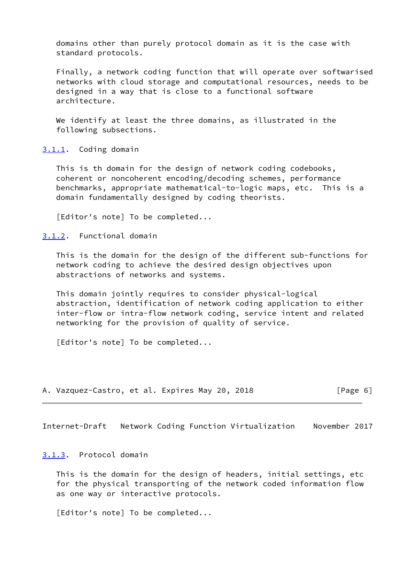domains other than purely protocol domain as it is the case with standard protocols.

 Finally, a network coding function that will operate over softwarised networks with cloud storage and computational resources, needs to be designed in a way that is close to a functional software architecture.

 We identify at least the three domains, as illustrated in the following subsections.

<span id="page-6-0"></span>[3.1.1](#page-6-0). Coding domain

 This is th domain for the design of network coding codebooks, coherent or noncoherent encoding/decoding schemes, performance benchmarks, appropriate mathematical-to-logic maps, etc. This is a domain fundamentally designed by coding theorists.

[Editor's note] To be completed...

<span id="page-6-1"></span>[3.1.2](#page-6-1). Functional domain

 This is the domain for the design of the different sub-functions for network coding to achieve the desired design objectives upon abstractions of networks and systems.

 This domain jointly requires to consider physical-logical abstraction, identification of network coding application to either inter-flow or intra-flow network coding, service intent and related networking for the provision of quality of service.

[Editor's note] To be completed...

A. Vazquez-Castro, et al. Expires May 20, 2018 [Page 6]

<span id="page-6-3"></span>Internet-Draft Network Coding Function Virtualization November 2017

<span id="page-6-2"></span>[3.1.3](#page-6-2). Protocol domain

 This is the domain for the design of headers, initial settings, etc for the physical transporting of the network coded information flow as one way or interactive protocols.

[Editor's note] To be completed...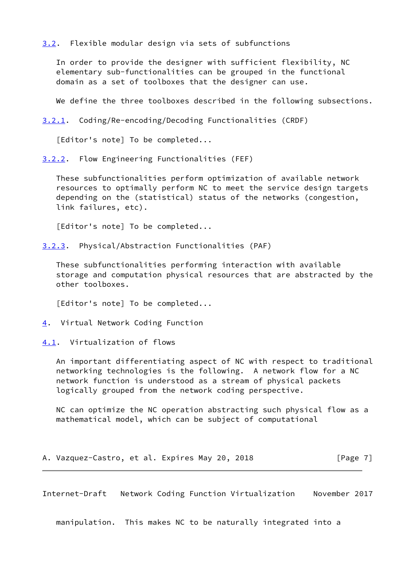<span id="page-7-0"></span>[3.2](#page-7-0). Flexible modular design via sets of subfunctions

 In order to provide the designer with sufficient flexibility, NC elementary sub-functionalities can be grouped in the functional domain as a set of toolboxes that the designer can use.

We define the three toolboxes described in the following subsections.

<span id="page-7-6"></span>[3.2.1](#page-7-6). Coding/Re-encoding/Decoding Functionalities (CRDF)

[Editor's note] To be completed...

<span id="page-7-1"></span>[3.2.2](#page-7-1). Flow Engineering Functionalities (FEF)

 These subfunctionalities perform optimization of available network resources to optimally perform NC to meet the service design targets depending on the (statistical) status of the networks (congestion, link failures, etc).

[Editor's note] To be completed...

<span id="page-7-2"></span>[3.2.3](#page-7-2). Physical/Abstraction Functionalities (PAF)

 These subfunctionalities performing interaction with available storage and computation physical resources that are abstracted by the other toolboxes.

[Editor's note] To be completed...

<span id="page-7-3"></span>[4](#page-7-3). Virtual Network Coding Function

<span id="page-7-4"></span>[4.1](#page-7-4). Virtualization of flows

 An important differentiating aspect of NC with respect to traditional networking technologies is the following. A network flow for a NC network function is understood as a stream of physical packets logically grouped from the network coding perspective.

 NC can optimize the NC operation abstracting such physical flow as a mathematical model, which can be subject of computational

A. Vazquez-Castro, et al. Expires May 20, 2018 [Page 7]

<span id="page-7-5"></span>Internet-Draft Network Coding Function Virtualization November 2017

manipulation. This makes NC to be naturally integrated into a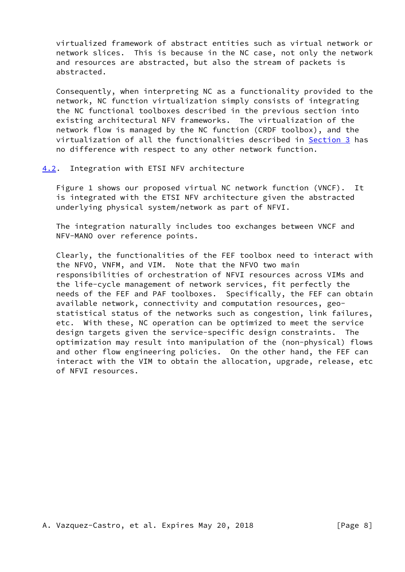virtualized framework of abstract entities such as virtual network or network slices. This is because in the NC case, not only the network and resources are abstracted, but also the stream of packets is abstracted.

 Consequently, when interpreting NC as a functionality provided to the network, NC function virtualization simply consists of integrating the NC functional toolboxes described in the previous section into existing architectural NFV frameworks. The virtualization of the network flow is managed by the NC function (CRDF toolbox), and the virtualization of all the functionalities described in [Section 3](#page-5-0) has no difference with respect to any other network function.

#### <span id="page-8-0"></span>[4.2](#page-8-0). Integration with ETSI NFV architecture

 Figure 1 shows our proposed virtual NC network function (VNCF). It is integrated with the ETSI NFV architecture given the abstracted underlying physical system/network as part of NFVI.

 The integration naturally includes too exchanges between VNCF and NFV-MANO over reference points.

 Clearly, the functionalities of the FEF toolbox need to interact with the NFVO, VNFM, and VIM. Note that the NFVO two main responsibilities of orchestration of NFVI resources across VIMs and the life-cycle management of network services, fit perfectly the needs of the FEF and PAF toolboxes. Specifically, the FEF can obtain available network, connectivity and computation resources, geo statistical status of the networks such as congestion, link failures, etc. With these, NC operation can be optimized to meet the service design targets given the service-specific design constraints. The optimization may result into manipulation of the (non-physical) flows and other flow engineering policies. On the other hand, the FEF can interact with the VIM to obtain the allocation, upgrade, release, etc of NFVI resources.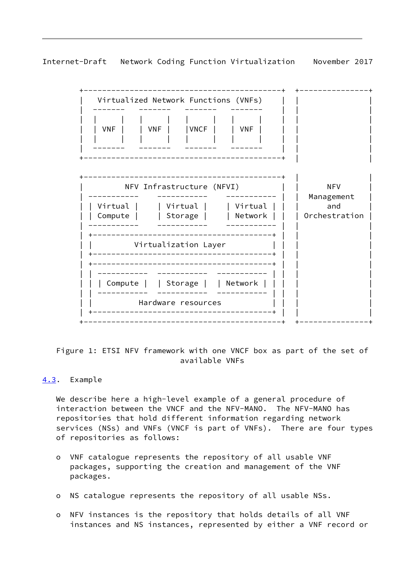<span id="page-9-1"></span>



 Figure 1: ETSI NFV framework with one VNCF box as part of the set of available VNFs

## <span id="page-9-0"></span>[4.3](#page-9-0). Example

 We describe here a high-level example of a general procedure of interaction between the VNCF and the NFV-MANO. The NFV-MANO has repositories that hold different information regarding network services (NSs) and VNFs (VNCF is part of VNFs). There are four types of repositories as follows:

- o VNF catalogue represents the repository of all usable VNF packages, supporting the creation and management of the VNF packages.
- o NS catalogue represents the repository of all usable NSs.
- o NFV instances is the repository that holds details of all VNF instances and NS instances, represented by either a VNF record or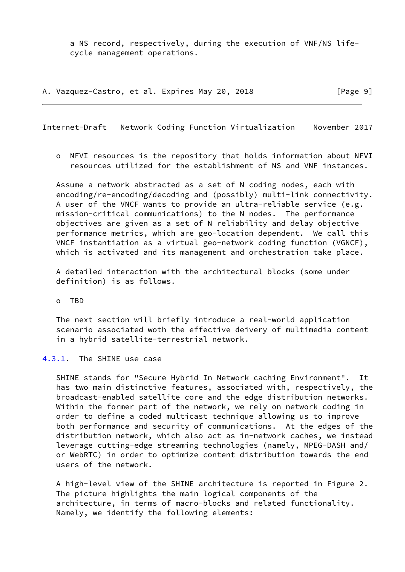a NS record, respectively, during the execution of VNF/NS life cycle management operations.

A. Vazquez-Castro, et al. Expires May 20, 2018 [Page 9]

<span id="page-10-1"></span>Internet-Draft Network Coding Function Virtualization November 2017

 o NFVI resources is the repository that holds information about NFVI resources utilized for the establishment of NS and VNF instances.

 Assume a network abstracted as a set of N coding nodes, each with encoding/re-encoding/decoding and (possibly) multi-link connectivity. A user of the VNCF wants to provide an ultra-reliable service (e.g. mission-critical communications) to the N nodes. The performance objectives are given as a set of N reliability and delay objective performance metrics, which are geo-location dependent. We call this VNCF instantiation as a virtual geo-network coding function (VGNCF), which is activated and its management and orchestration take place.

 A detailed interaction with the architectural blocks (some under definition) is as follows.

o TBD

 The next section will briefly introduce a real-world application scenario associated woth the effective deivery of multimedia content in a hybrid satellite-terrestrial network.

#### <span id="page-10-0"></span>[4.3.1](#page-10-0). The SHINE use case

 SHINE stands for "Secure Hybrid In Network caching Environment". It has two main distinctive features, associated with, respectively, the broadcast-enabled satellite core and the edge distribution networks. Within the former part of the network, we rely on network coding in order to define a coded multicast technique allowing us to improve both performance and security of communications. At the edges of the distribution network, which also act as in-network caches, we instead leverage cutting-edge streaming technologies (namely, MPEG-DASH and/ or WebRTC) in order to optimize content distribution towards the end users of the network.

 A high-level view of the SHINE architecture is reported in Figure 2. The picture highlights the main logical components of the architecture, in terms of macro-blocks and related functionality. Namely, we identify the following elements: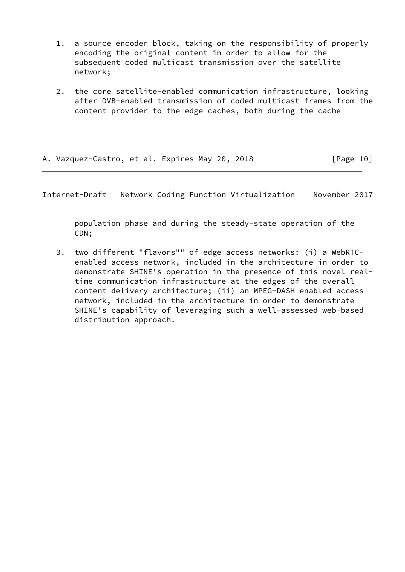- 1. a source encoder block, taking on the responsibility of properly encoding the original content in order to allow for the subsequent coded multicast transmission over the satellite network;
- 2. the core satellite-enabled communication infrastructure, looking after DVB-enabled transmission of coded multicast frames from the content provider to the edge caches, both during the cache

|  | A. Vazquez-Castro, et al. Expires May 20, 2018 |  |  |  |  | [Page 10] |
|--|------------------------------------------------|--|--|--|--|-----------|
|--|------------------------------------------------|--|--|--|--|-----------|

 population phase and during the steady-state operation of the CDN;

 3. two different "flavors"" of edge access networks: (i) a WebRTC enabled access network, included in the architecture in order to demonstrate SHINE's operation in the presence of this novel real time communication infrastructure at the edges of the overall content delivery architecture; (ii) an MPEG-DASH enabled access network, included in the architecture in order to demonstrate SHINE's capability of leveraging such a well-assessed web-based distribution approach.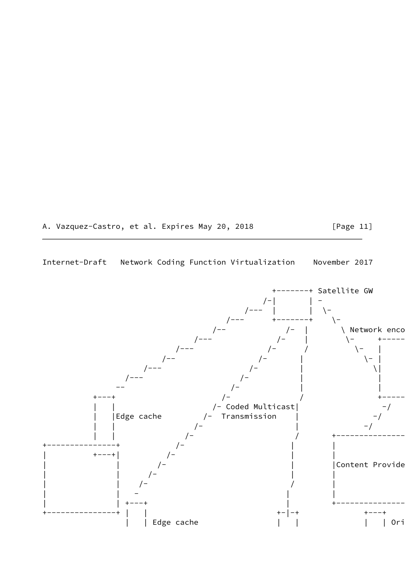# A. Vazquez-Castro, et al. Expires May 20, 2018 [Page 11]

## Internet-Draft Network Coding Function Virtualization November 2017

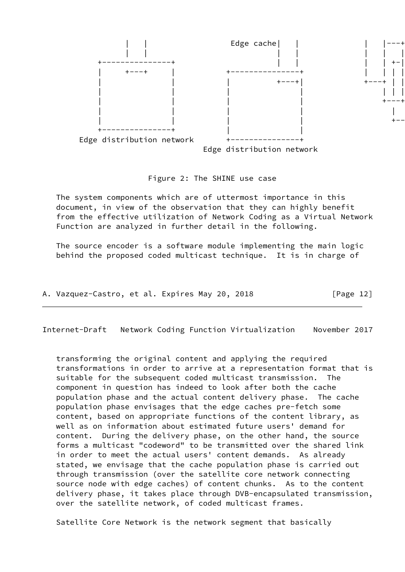

#### Figure 2: The SHINE use case

 The system components which are of uttermost importance in this document, in view of the observation that they can highly benefit from the effective utilization of Network Coding as a Virtual Network Function are analyzed in further detail in the following.

 The source encoder is a software module implementing the main logic behind the proposed coded multicast technique. It is in charge of

A. Vazquez-Castro, et al. Expires May 20, 2018 [Page 12]

Internet-Draft Network Coding Function Virtualization November 2017

 transforming the original content and applying the required transformations in order to arrive at a representation format that is suitable for the subsequent coded multicast transmission. The component in question has indeed to look after both the cache population phase and the actual content delivery phase. The cache population phase envisages that the edge caches pre-fetch some content, based on appropriate functions of the content library, as well as on information about estimated future users' demand for content. During the delivery phase, on the other hand, the source forms a multicast "codeword" to be transmitted over the shared link in order to meet the actual users' content demands. As already stated, we envisage that the cache population phase is carried out through transmission (over the satellite core network connecting source node with edge caches) of content chunks. As to the content delivery phase, it takes place through DVB-encapsulated transmission, over the satellite network, of coded multicast frames.

Satellite Core Network is the network segment that basically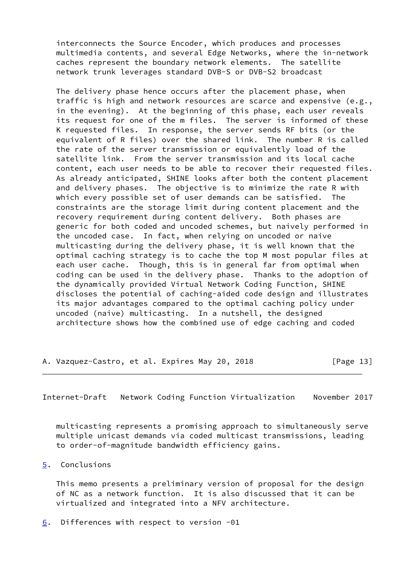interconnects the Source Encoder, which produces and processes multimedia contents, and several Edge Networks, where the in-network caches represent the boundary network elements. The satellite network trunk leverages standard DVB-S or DVB-S2 broadcast

 The delivery phase hence occurs after the placement phase, when traffic is high and network resources are scarce and expensive (e.g., in the evening). At the beginning of this phase, each user reveals its request for one of the m files. The server is informed of these K requested files. In response, the server sends RF bits (or the equivalent of R files) over the shared link. The number R is called the rate of the server transmission or equivalently load of the satellite link. From the server transmission and its local cache content, each user needs to be able to recover their requested files. As already anticipated, SHINE looks after both the content placement and delivery phases. The objective is to minimize the rate R with which every possible set of user demands can be satisfied. The constraints are the storage limit during content placement and the recovery requirement during content delivery. Both phases are generic for both coded and uncoded schemes, but naively performed in the uncoded case. In fact, when relying on uncoded or naive multicasting during the delivery phase, it is well known that the optimal caching strategy is to cache the top M most popular files at each user cache. Though, this is in general far from optimal when coding can be used in the delivery phase. Thanks to the adoption of the dynamically provided Virtual Network Coding Function, SHINE discloses the potential of caching-aided code design and illustrates its major advantages compared to the optimal caching policy under uncoded (naive) multicasting. In a nutshell, the designed architecture shows how the combined use of edge caching and coded

A. Vazquez-Castro, et al. Expires May 20, 2018 [Page 13]

<span id="page-14-1"></span>Internet-Draft Network Coding Function Virtualization November 2017

 multicasting represents a promising approach to simultaneously serve multiple unicast demands via coded multicast transmissions, leading to order-of-magnitude bandwidth efficiency gains.

#### <span id="page-14-0"></span>[5](#page-14-0). Conclusions

 This memo presents a preliminary version of proposal for the design of NC as a network function. It is also discussed that it can be virtualized and integrated into a NFV architecture.

<span id="page-14-2"></span>[6](#page-14-2). Differences with respect to version -01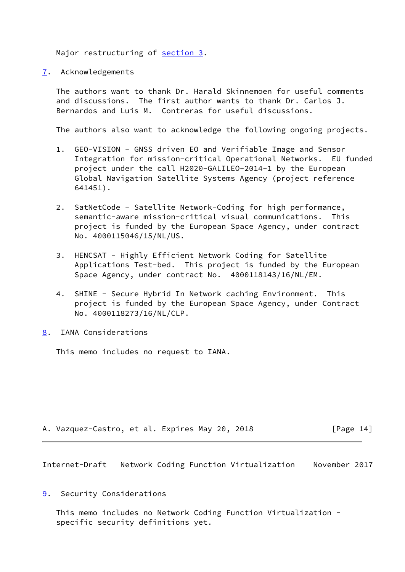Major restructuring of [section 3.](#page-5-0)

<span id="page-15-0"></span>[7](#page-15-0). Acknowledgements

 The authors want to thank Dr. Harald Skinnemoen for useful comments and discussions. The first author wants to thank Dr. Carlos J. Bernardos and Luis M. Contreras for useful discussions.

The authors also want to acknowledge the following ongoing projects.

- 1. GEO-VISION GNSS driven EO and Verifiable Image and Sensor Integration for mission-critical Operational Networks. EU funded project under the call H2020-GALILEO-2014-1 by the European Global Navigation Satellite Systems Agency (project reference 641451).
- 2. SatNetCode Satellite Network-Coding for high performance, semantic-aware mission-critical visual communications. This project is funded by the European Space Agency, under contract No. 4000115046/15/NL/US.
- 3. HENCSAT Highly Efficient Network Coding for Satellite Applications Test-bed. This project is funded by the European Space Agency, under contract No. 4000118143/16/NL/EM.
- 4. SHINE Secure Hybrid In Network caching Environment. This project is funded by the European Space Agency, under Contract No. 4000118273/16/NL/CLP.
- <span id="page-15-1"></span>[8](#page-15-1). IANA Considerations

This memo includes no request to IANA.

A. Vazquez-Castro, et al. Expires May 20, 2018 [Page 14]

<span id="page-15-3"></span>Internet-Draft Network Coding Function Virtualization November 2017

<span id="page-15-2"></span>[9](#page-15-2). Security Considerations

 This memo includes no Network Coding Function Virtualization specific security definitions yet.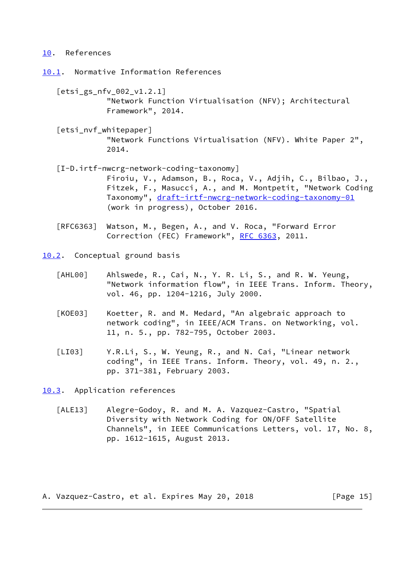#### <span id="page-16-0"></span>[10.](#page-16-0) References

<span id="page-16-1"></span>[10.1](#page-16-1). Normative Information References

- <span id="page-16-4"></span> [etsi\_gs\_nfv\_002\_v1.2.1] "Network Function Virtualisation (NFV); Architectural Framework", 2014.
- [etsi\_nvf\_whitepaper] "Network Functions Virtualisation (NFV). White Paper 2", 2014.
- [I-D.irtf-nwcrg-network-coding-taxonomy] Firoiu, V., Adamson, B., Roca, V., Adjih, C., Bilbao, J., Fitzek, F., Masucci, A., and M. Montpetit, "Network Coding Taxonomy", [draft-irtf-nwcrg-network-coding-taxonomy-01](https://datatracker.ietf.org/doc/pdf/draft-irtf-nwcrg-network-coding-taxonomy-01) (work in progress), October 2016.
- [RFC6363] Watson, M., Begen, A., and V. Roca, "Forward Error Correction (FEC) Framework", [RFC 6363](https://datatracker.ietf.org/doc/pdf/rfc6363), 2011.

<span id="page-16-2"></span>[10.2](#page-16-2). Conceptual ground basis

- [AHL00] Ahlswede, R., Cai, N., Y. R. Li, S., and R. W. Yeung, "Network information flow", in IEEE Trans. Inform. Theory, vol. 46, pp. 1204-1216, July 2000.
- [KOE03] Koetter, R. and M. Medard, "An algebraic approach to network coding", in IEEE/ACM Trans. on Networking, vol. 11, n. 5., pp. 782-795, October 2003.
- [LI03] Y.R.Li, S., W. Yeung, R., and N. Cai, "Linear network coding", in IEEE Trans. Inform. Theory, vol. 49, n. 2., pp. 371-381, February 2003.

<span id="page-16-3"></span>[10.3](#page-16-3). Application references

 [ALE13] Alegre-Godoy, R. and M. A. Vazquez-Castro, "Spatial Diversity with Network Coding for ON/OFF Satellite Channels", in IEEE Communications Letters, vol. 17, No. 8, pp. 1612-1615, August 2013.

A. Vazquez-Castro, et al. Expires May 20, 2018 [Page 15]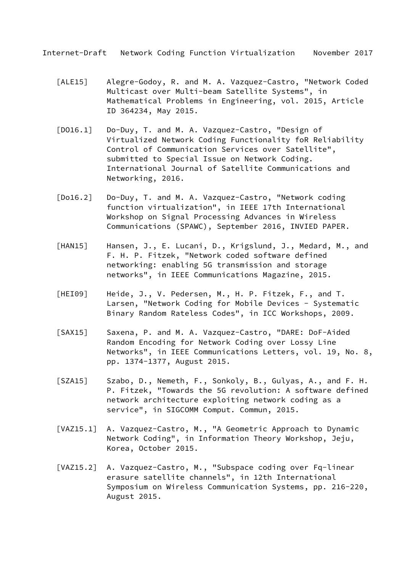- [ALE15] Alegre-Godoy, R. and M. A. Vazquez-Castro, "Network Coded Multicast over Multi-beam Satellite Systems", in Mathematical Problems in Engineering, vol. 2015, Article ID 364234, May 2015.
- [DO16.1] Do-Duy, T. and M. A. Vazquez-Castro, "Design of Virtualized Network Coding Functionality foR Reliability Control of Communication Services over Satellite", submitted to Special Issue on Network Coding. International Journal of Satellite Communications and Networking, 2016.
- [Do16.2] Do-Duy, T. and M. A. Vazquez-Castro, "Network coding function virtualization", in IEEE 17th International Workshop on Signal Processing Advances in Wireless Communications (SPAWC), September 2016, INVIED PAPER.
- [HAN15] Hansen, J., E. Lucani, D., Krigslund, J., Medard, M., and F. H. P. Fitzek, "Network coded software defined networking: enabling 5G transmission and storage networks", in IEEE Communications Magazine, 2015.
- [HEI09] Heide, J., V. Pedersen, M., H. P. Fitzek, F., and T. Larsen, "Network Coding for Mobile Devices - Systematic Binary Random Rateless Codes", in ICC Workshops, 2009.
- [SAX15] Saxena, P. and M. A. Vazquez-Castro, "DARE: DoF-Aided Random Encoding for Network Coding over Lossy Line Networks", in IEEE Communications Letters, vol. 19, No. 8, pp. 1374-1377, August 2015.
- [SZA15] Szabo, D., Nemeth, F., Sonkoly, B., Gulyas, A., and F. H. P. Fitzek, "Towards the 5G revolution: A software defined network architecture exploiting network coding as a service", in SIGCOMM Comput. Commun, 2015.
- [VAZ15.1] A. Vazquez-Castro, M., "A Geometric Approach to Dynamic Network Coding", in Information Theory Workshop, Jeju, Korea, October 2015.
- [VAZ15.2] A. Vazquez-Castro, M., "Subspace coding over Fq-linear erasure satellite channels", in 12th International Symposium on Wireless Communication Systems, pp. 216-220, August 2015.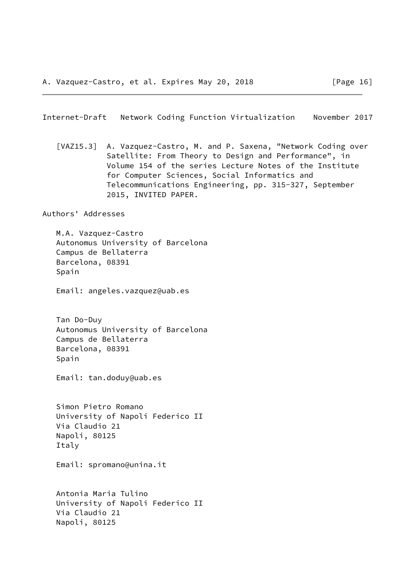<span id="page-18-0"></span> [VAZ15.3] A. Vazquez-Castro, M. and P. Saxena, "Network Coding over Satellite: From Theory to Design and Performance", in Volume 154 of the series Lecture Notes of the Institute for Computer Sciences, Social Informatics and Telecommunications Engineering, pp. 315-327, September 2015, INVITED PAPER.

Authors' Addresses

 M.A. Vazquez-Castro Autonomus University of Barcelona Campus de Bellaterra Barcelona, 08391 Spain

Email: angeles.vazquez@uab.es

 Tan Do-Duy Autonomus University of Barcelona Campus de Bellaterra Barcelona, 08391 Spain

Email: tan.doduy@uab.es

 Simon Pietro Romano University of Napoli Federico II Via Claudio 21 Napoli, 80125 Italy

Email: spromano@unina.it

 Antonia Maria Tulino University of Napoli Federico II Via Claudio 21 Napoli, 80125